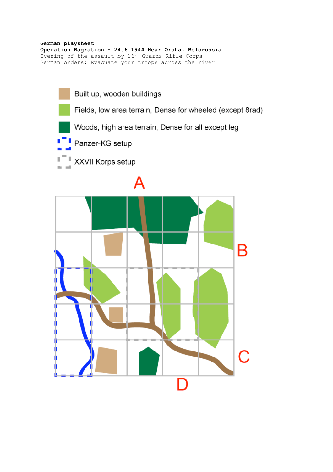

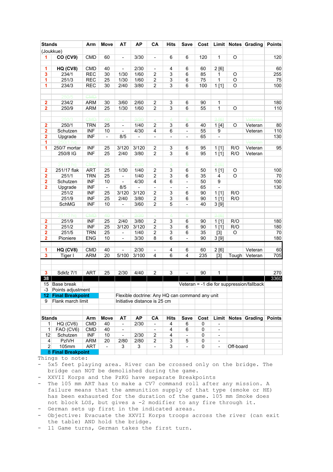| <b>Stands</b>           |                     | Arm        | Move                         | AT                                             | <b>AP</b>                    | CA                           | <b>Hits</b>                               | Save                     | Cost |                              |           | Limit   Notes   Grading | <b>Points</b> |
|-------------------------|---------------------|------------|------------------------------|------------------------------------------------|------------------------------|------------------------------|-------------------------------------------|--------------------------|------|------------------------------|-----------|-------------------------|---------------|
|                         | (Joukkue)           |            |                              |                                                |                              |                              |                                           |                          |      |                              |           |                         |               |
| 1                       | <b>CO (CV9)</b>     | <b>CMD</b> | 60                           | $\Box$                                         | 3/30                         | $\blacksquare$               | 6                                         | 6                        | 120  | 1                            | O         |                         | 120           |
| 1                       | HQ (CV8)            | <b>CMD</b> | 40                           | $\overline{a}$                                 | 2/30                         | $\blacksquare$               | 4                                         | 6                        | 60   | 2[6]                         |           |                         | 60            |
| 3                       | 234/1               | <b>REC</b> | 30                           | 1/30                                           | 1/60                         | $\overline{2}$               | 3                                         | 6                        | 85   | 1                            | O         |                         | 255           |
| 1                       | 251/3               | <b>REC</b> | 25                           | 1/30                                           | 1/60                         | $\overline{\mathbf{c}}$      | 3                                         | 6                        | 75   | 1                            | O         |                         | 75            |
| 1                       | 234/3               | <b>REC</b> | 30                           | 2/40                                           | 3/80                         | $\overline{2}$               | $\overline{3}$                            | 6                        | 100  | 1[1]                         | O         |                         | 100           |
|                         |                     |            |                              |                                                |                              |                              |                                           |                          |      |                              |           |                         |               |
|                         | 250/5               | CMD        |                              |                                                |                              |                              |                                           |                          |      |                              |           |                         |               |
| $\mathbf{2}$            | 234/2               | <b>ARM</b> | 30                           | 3/60                                           | 2/60                         | $\overline{2}$               | 3                                         | 6                        | 90   | 1                            |           |                         | 180           |
| $\overline{2}$          | 250/9               | <b>ARM</b> | 25                           | 1/30                                           | 1/60                         | 2                            | 3                                         | 6                        | 55   | 1                            | O         |                         | 110           |
|                         | 250/3               | CMD        | 40                           |                                                | 2/30                         |                              | 4                                         | 6                        |      | $2 - 6$                      |           | Veteran                 |               |
| $\overline{2}$          | 250/1               | <b>TRN</b> | 25                           | $\Box$                                         | 1/40                         | $\overline{2}$               | 3                                         | 6                        | 40   | 1[4]                         | $\circ$   | Veteran                 | 80            |
| $\overline{\mathbf{2}}$ | Schutzen            | <b>INF</b> | 10                           | $\blacksquare$                                 | 4/30                         | $\overline{4}$               | 6                                         | $\blacksquare$           | 55   | 9                            |           | Veteran                 | 110           |
| $\overline{2}$<br>1     | Upgrade<br>250/1 hq | <b>INF</b> | $\frac{1}{2}$                | 8/5                                            | $\overline{\phantom{0}}$     | $\overline{a}$               | $\frac{1}{2}$                             | $\overline{\phantom{a}}$ | 65   | $\frac{1}{2}$                |           | Veteran                 | 130           |
| 1                       | 250/7 mortar        | <b>INF</b> | 25                           | 3/120                                          | 3/120                        | $\overline{2}$               | 3                                         | 6                        | 95   | 1[1]                         | R/O       | Veteran                 | 95            |
|                         | 250/8 IG            | <b>INF</b> | 25                           | 2/40                                           | 3/80                         | $\overline{2}$               | $\overline{3}$                            | 6                        | 95   | 1[1]                         | R/O       | Veteran                 |               |
|                         |                     |            |                              |                                                |                              |                              |                                           |                          |      |                              |           |                         |               |
|                         | 251/3 hq            | CMD        | 40                           |                                                | 2/30                         |                              | 4                                         | 6                        |      | $2 + 61$                     |           |                         |               |
| $\overline{2}$          | 251/17 flak         | <b>ART</b> | 25                           | 1/30                                           | 1/40                         | $\overline{2}$               | 3                                         | 6                        | 50   | 1[1]                         | O         |                         | 100           |
| $\overline{\mathbf{2}}$ | 251/1               | <b>TRN</b> | 25                           | $\frac{1}{2}$                                  | 1/40                         | $\overline{2}$               | 3                                         | 6                        | 35   | 4                            | O         |                         | 70            |
| $\mathbf{2}$            | Schutzen            | <b>INF</b> | 10                           | $\blacksquare$                                 | 4/30                         | 4                            | 6                                         | $\blacksquare$           | 50   | 9                            |           |                         | 100           |
| $\overline{2}$          | Upgrade             | <b>INF</b> | $\blacksquare$               | 8/5                                            | $\overline{\phantom{a}}$     | $\blacksquare$               | $\overline{\phantom{a}}$                  | $\overline{\phantom{a}}$ | 65   | $\blacksquare$               |           |                         | 130           |
|                         | 251/2               | <b>INF</b> | 25                           | 3/120                                          | 3/120                        | $\overline{2}$               | 3                                         | 6                        | 90   | 1[1]                         | R/O       |                         |               |
|                         | 251/9               | <b>INF</b> | 25                           | 2/40                                           | 3/80                         | $\overline{2}$               | 3                                         | 6                        | 90   | 1[1]                         | R/O       |                         |               |
|                         | <b>SchMG</b>        | <b>INF</b> | 10                           | $\equiv$                                       | 3/60                         | $\overline{2}$               | 5                                         | $\blacksquare$           | 40   | 3 [9]                        |           |                         |               |
|                         | 251/3 hg            | <b>CMD</b> | 40                           |                                                | 2/30                         | ÷                            | 4                                         | 6                        |      | $2 - 61$                     |           |                         |               |
| $\overline{2}$          | 251/9               | <b>INF</b> | 25                           | 2/40                                           | 3/80                         | $\overline{2}$               | 3                                         | 6                        | 90   | 1[1]                         | R/O       |                         | 180           |
| $\overline{\mathbf{2}}$ | 251/2               | <b>INF</b> | 25                           | 3/120                                          | 3/120                        | $\overline{2}$               | $\overline{3}$                            | 6                        | 90   | 1[1]                         | R/O       |                         | 180           |
| $\overline{\mathbf{2}}$ | 251/5               | <b>TRN</b> | 25                           | $\Box$                                         | 1/40                         | $\overline{c}$               | $\overline{\mathbf{3}}$                   | 6                        | 35   | $[3]$                        | O         |                         | 70            |
| $\overline{\mathbf{2}}$ | Pioniere            | <b>ENG</b> | 10                           | $\blacksquare$                                 | 3/30                         | 8                            | 6                                         | $\overline{\phantom{a}}$ | 90   | 3 [9]                        |           |                         | 180           |
| 1                       | HQ (CV8)            | <b>CMD</b> | 40                           | $\overline{a}$                                 | 2/30                         | $\blacksquare$               | 4                                         | 6                        | 60   | 2[6]                         |           | Veteran                 | 60            |
| 3                       | Tiger I             | <b>ARM</b> | 20                           | 5/100                                          | 3/100                        | 4                            | 6                                         | 4                        | 235  | $[3]$                        | Tough     | Veteran                 | 705           |
|                         |                     |            |                              |                                                |                              |                              |                                           |                          |      |                              |           |                         |               |
| 3                       | Sdkfz 7/1           | <b>ART</b> | 25                           | 2/30                                           | 4/40                         | $\overline{2}$               | $\overline{3}$                            |                          | 90   | 1                            |           |                         | 270           |
| 38                      |                     |            |                              |                                                |                              |                              |                                           |                          |      |                              |           |                         | 3360          |
|                         | 15 Base break       |            |                              |                                                |                              |                              |                                           |                          |      |                              |           |                         |               |
| -3                      | Points adjustment   |            |                              |                                                |                              |                              | Veteran = -1 die for suppression/fallback |                          |      |                              |           |                         |               |
|                         | 12 Final Breakpoint |            |                              | Flexible doctrine: Any HQ can command any unit |                              |                              |                                           |                          |      |                              |           |                         |               |
| 9                       | Flank march limit   |            |                              |                                                | Initiative distance is 25 cm |                              |                                           |                          |      |                              |           |                         |               |
|                         |                     |            |                              |                                                |                              |                              |                                           |                          |      |                              |           |                         |               |
| <b>Stands</b>           |                     | Arm        | Move                         | АТ                                             | AP                           | CA                           | <b>Hits</b>                               | Save                     | Cost |                              |           | Limit Notes Grading     | <b>Points</b> |
| 1                       | HQ (CV6)            | <b>CMD</b> | 40                           | $\overline{\phantom{a}}$                       | 2/30                         | $\blacksquare$               | 4                                         | 6                        | 0    | ä,                           |           |                         |               |
| 1                       | FAO (CV6)           | <b>CMD</b> | 40                           | $\qquad \qquad \blacksquare$                   |                              | $\qquad \qquad \blacksquare$ | 4                                         | 6                        | 0    | $\qquad \qquad \blacksquare$ |           |                         |               |
| 12                      | Schutzen            | <b>INF</b> | 10                           | $\blacksquare$                                 | 2/30                         | $\overline{2}$               | 4                                         | $\overline{\phantom{a}}$ | 0    | $\overline{\phantom{0}}$     |           |                         |               |
| $\overline{\mathbf{4}}$ | PzIVH               | <b>ARM</b> | 20                           | 2/80                                           | 2/80                         | $\overline{2}$               | $\overline{3}$                            | 5                        | 0    | $\overline{\phantom{0}}$     |           |                         |               |
| $\mathbf{2}$            | 105mm               | ART        | $\qquad \qquad \blacksquare$ | 3                                              | 3                            | $\qquad \qquad \blacksquare$ | 3                                         | $\overline{\phantom{a}}$ | 0    | $\qquad \qquad \blacksquare$ | Off-board |                         |               |
|                         | 8 Final Breakpoint  |            |                              |                                                |                              |                              |                                           |                          |      |                              |           |                         |               |

Things to note:

- 5x5 feet playing area. River can be crossed only on the bridge. The bridge can NOT be demolished during the game.

- XXVII Korps and the PzKG have separate Breakpoints
- The 105 mm ART has to make a CV7 command roll after any mission. A failure means that the ammunition supply of that type (smoke or HE) has been exhausted for the duration of the game. 105 mm Smoke does not block LOS, but gives a -2 modifier to any fire through it.
- German sets up first in the indicated areas.
- Objective: Evacuate the XXVII Korps troops across the river (can exit the table) AND hold the bridge.
- 11 Game turns, German takes the first turn.